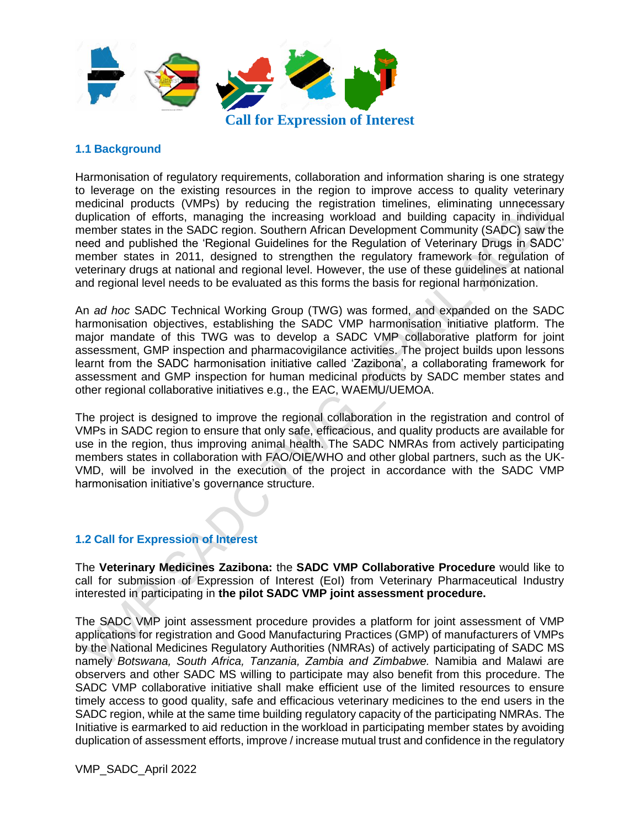

### **1.1 Background**

Harmonisation of regulatory requirements, collaboration and information sharing is one strategy to leverage on the existing resources in the region to improve access to quality veterinary medicinal products (VMPs) by reducing the registration timelines, eliminating unnecessary duplication of efforts, managing the increasing workload and building capacity in individual member states in the SADC region. Southern African Development Community (SADC) saw the need and published the 'Regional Guidelines for the Regulation of Veterinary Drugs in SADC' member states in 2011, designed to strengthen the regulatory framework for regulation of veterinary drugs at national and regional level. However, the use of these guidelines at national and regional level needs to be evaluated as this forms the basis for regional harmonization.

An *ad hoc* SADC Technical Working Group (TWG) was formed, and expanded on the SADC harmonisation objectives, establishing the SADC VMP harmonisation initiative platform. The major mandate of this TWG was to develop a SADC VMP collaborative platform for joint assessment, GMP inspection and pharmacovigilance activities. The project builds upon lessons learnt from the SADC harmonisation initiative called 'Zazibona', a collaborating framework for assessment and GMP inspection for human medicinal products by SADC member states and other regional collaborative initiatives e.g., the EAC, WAEMU/UEMOA.

The project is designed to improve the regional collaboration in the registration and control of VMPs in SADC region to ensure that only safe, efficacious, and quality products are available for use in the region, thus improving animal health. The SADC NMRAs from actively participating members states in collaboration with FAO/OIE/WHO and other global partners, such as the UK-VMD, will be involved in the execution of the project in accordance with the SADC VMP harmonisation initiative's governance structure.

### **1.2 Call for Expression of Interest**

The **Veterinary Medicines Zazibona:** the **SADC VMP Collaborative Procedure** would like to call for submission of Expression of Interest (EoI) from Veterinary Pharmaceutical Industry interested in participating in **the pilot SADC VMP joint assessment procedure.**

The SADC VMP joint assessment procedure provides a platform for joint assessment of VMP applications for registration and Good Manufacturing Practices (GMP) of manufacturers of VMPs by the National Medicines Regulatory Authorities (NMRAs) of actively participating of SADC MS namely *Botswana, South Africa, Tanzania, Zambia and Zimbabwe.* Namibia and Malawi are observers and other SADC MS willing to participate may also benefit from this procedure. The SADC VMP collaborative initiative shall make efficient use of the limited resources to ensure timely access to good quality, safe and efficacious veterinary medicines to the end users in the SADC region, while at the same time building regulatory capacity of the participating NMRAs. The Initiative is earmarked to aid reduction in the workload in participating member states by avoiding duplication of assessment efforts, improve / increase mutual trust and confidence in the regulatory

VMP\_SADC\_April 2022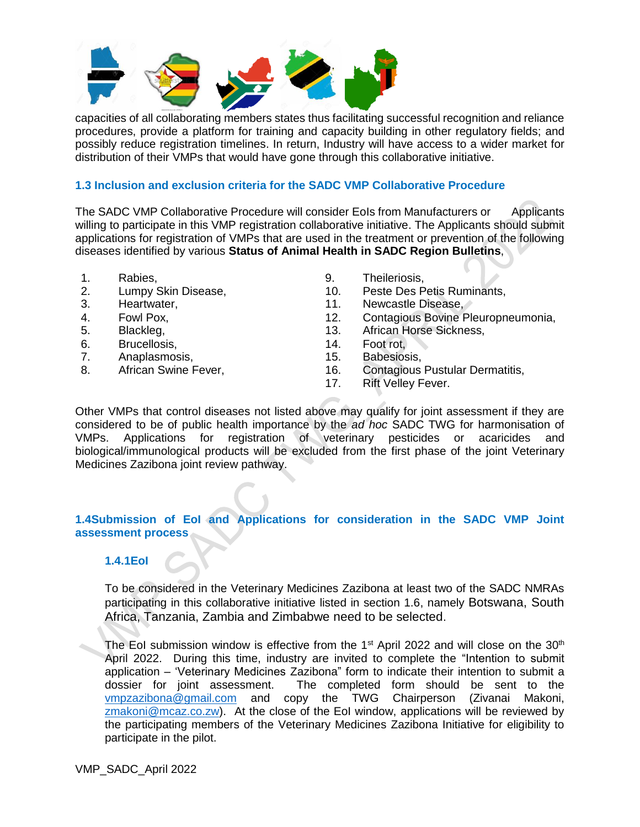

capacities of all collaborating members states thus facilitating successful recognition and reliance procedures, provide a platform for training and capacity building in other regulatory fields; and possibly reduce registration timelines. In return, Industry will have access to a wider market for distribution of their VMPs that would have gone through this collaborative initiative.

#### **1.3 Inclusion and exclusion criteria for the SADC VMP Collaborative Procedure**

The SADC VMP Collaborative Procedure will consider EoIs from Manufacturers or Applicants willing to participate in this VMP registration collaborative initiative. The Applicants should submit applications for registration of VMPs that are used in the treatment or prevention of the following diseases identified by various **Status of Animal Health in SADC Region Bulletins**,

- 1. Rabies,
- 2. Lumpy Skin Disease,
- 3. Heartwater,
- 4. Fowl Pox,
- 5. Blackleg,
- 6. Brucellosis,
- 7. Anaplasmosis,
- 8. African Swine Fever,
- 9. Theileriosis,
- 10. Peste Des Petis Ruminants,
- 11. Newcastle Disease,
- 12. Contagious Bovine Pleuropneumonia,
- 13. African Horse Sickness,
- 14. Foot rot,
- 15. Babesiosis,
- 16. Contagious Pustular Dermatitis,
- 17. Rift Velley Fever.

Other VMPs that control diseases not listed above may qualify for joint assessment if they are considered to be of public health importance by the *ad hoc* SADC TWG for harmonisation of VMPs. Applications for registration of veterinary pesticides or acaricides and biological/immunological products will be excluded from the first phase of the joint Veterinary Medicines Zazibona joint review pathway.

### **1.4Submission of EoI and Applications for consideration in the SADC VMP Joint assessment process**

### **1.4.1EoI**

To be considered in the Veterinary Medicines Zazibona at least two of the SADC NMRAs participating in this collaborative initiative listed in section 1.6, namely Botswana, South Africa, Tanzania, Zambia and Zimbabwe need to be selected.

The EoI submission window is effective from the  $1<sup>st</sup>$  April 2022 and will close on the 30<sup>th</sup> April 2022. During this time, industry are invited to complete the "Intention to submit application – 'Veterinary Medicines Zazibona" form to indicate their intention to submit a dossier for joint assessment. The completed form should be sent to the The completed form should be sent to the [vmpzazibona@gmail.com](mailto:vmpzazibona@gmail.com) and copy the TWG Chairperson (Zivanai Makoni, [zmakoni@mcaz.co.zw\)](mailto:zmakoni@mcaz.co.zw). At the close of the EoI window, applications will be reviewed by the participating members of the Veterinary Medicines Zazibona Initiative for eligibility to participate in the pilot.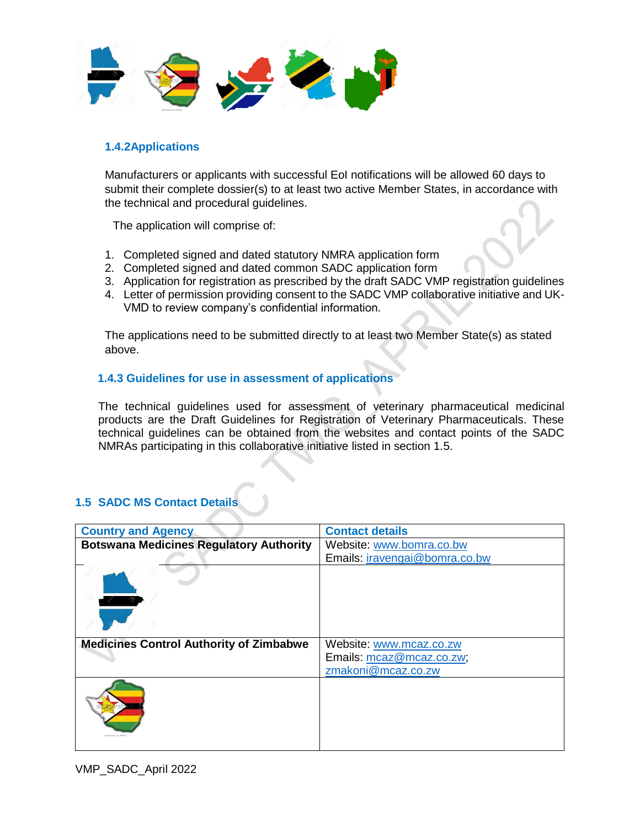

## **1.4.2Applications**

Manufacturers or applicants with successful EoI notifications will be allowed 60 days to submit their complete dossier(s) to at least two active Member States, in accordance with the technical and procedural guidelines.

The application will comprise of:

- 1. Completed signed and dated statutory NMRA application form
- 2. Completed signed and dated common SADC application form
- 3. Application for registration as prescribed by the draft SADC VMP registration guidelines
- 4. Letter of permission providing consent to the SADC VMP collaborative initiative and UK-VMD to review company's confidential information.

The applications need to be submitted directly to at least two Member State(s) as stated above.

### **1.4.3 Guidelines for use in assessment of applications**

The technical guidelines used for assessment of veterinary pharmaceutical medicinal products are the Draft Guidelines for Registration of Veterinary Pharmaceuticals. These technical guidelines can be obtained from the websites and contact points of the SADC NMRAs participating in this collaborative initiative listed in section 1.5.

# **1.5 SADC MS Contact Details**

| <b>Country and Agency</b>                      | <b>Contact details</b>        |
|------------------------------------------------|-------------------------------|
| <b>Botswana Medicines Regulatory Authority</b> | Website: www.bomra.co.bw      |
|                                                | Emails: iravengai@bomra.co.bw |
|                                                |                               |
| <b>Medicines Control Authority of Zimbabwe</b> | Website: www.mcaz.co.zw       |
|                                                | Emails: mcaz@mcaz.co.zw;      |
|                                                | zmakoni@mcaz.co.zw            |
|                                                |                               |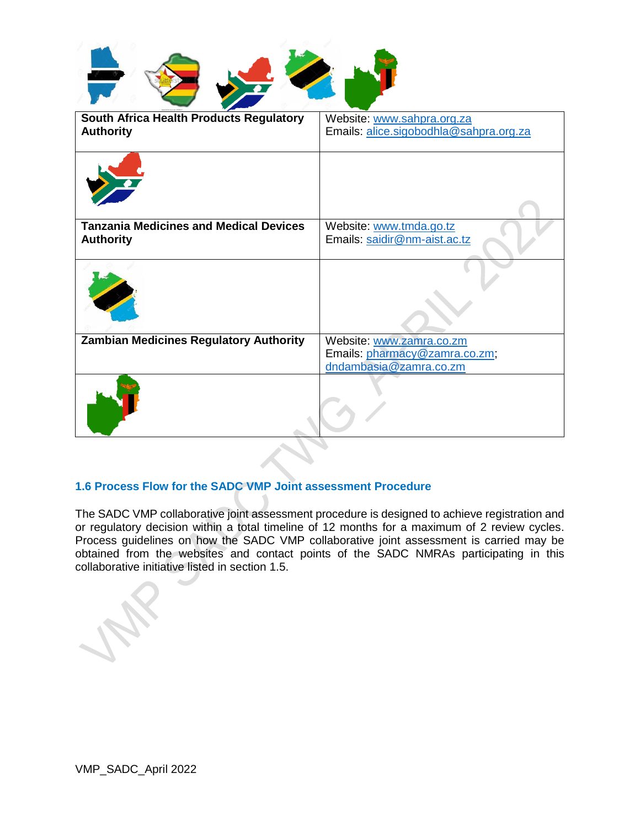| weaponemann Count |  |  |
|-------------------|--|--|

| South Africa Health Products Regulatory<br><b>Authority</b>       | Website: www.sahpra.org.za<br>Emails: alice.sigobodhla@sahpra.org.za                |
|-------------------------------------------------------------------|-------------------------------------------------------------------------------------|
|                                                                   |                                                                                     |
| <b>Tanzania Medicines and Medical Devices</b><br><b>Authority</b> | Website: www.tmda.go.tz<br>Emails: saidir@nm-aist.ac.tz                             |
|                                                                   |                                                                                     |
| <b>Zambian Medicines Regulatory Authority</b>                     | Website: www.zamra.co.zm<br>Emails: pharmacy@zamra.co.zm;<br>dndambasia@zamra.co.zm |
|                                                                   |                                                                                     |

# **1.6 Process Flow for the SADC VMP Joint assessment Procedure**

The SADC VMP collaborative joint assessment procedure is designed to achieve registration and or regulatory decision within a total timeline of 12 months for a maximum of 2 review cycles. Process guidelines on how the SADC VMP collaborative joint assessment is carried may be obtained from the websites and contact points of the SADC NMRAs participating in this collaborative initiative listed in section 1.5.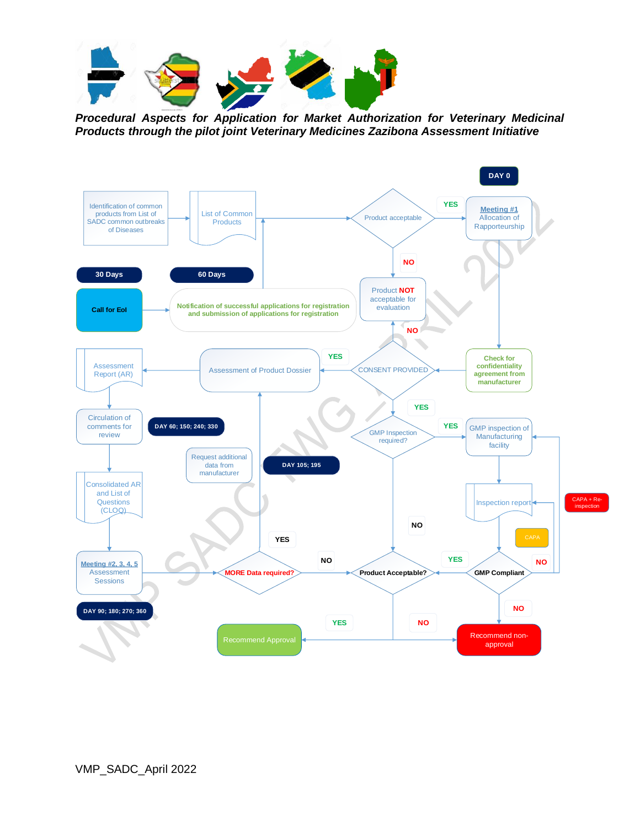

*Procedural Aspects for Application for Market Authorization for Veterinary Medicinal Products through the pilot joint Veterinary Medicines Zazibona Assessment Initiative*